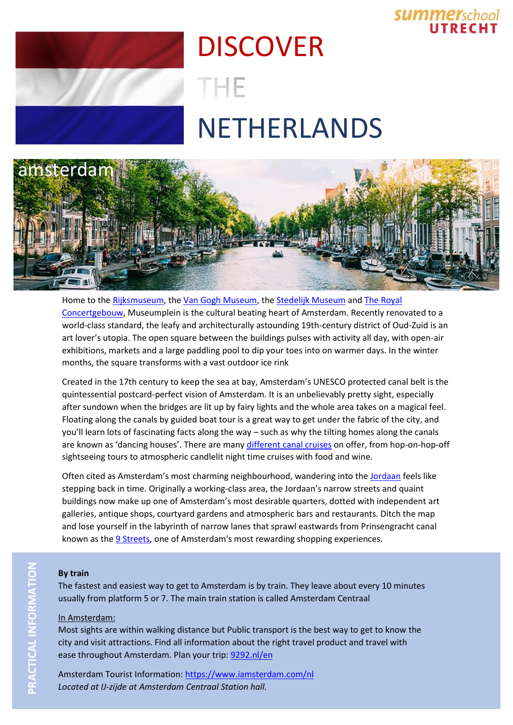## **SUMMErschool**

# **DISCOVER** THE NETHERLANDS



Home to the [Rijksmuseum,](https://www.iamsterdam.com/en/see-and-do/things-to-do/museums-and-galleries/museums/rijksmuseum) the [Van Gogh Museum,](https://www.iamsterdam.com/en/see-and-do/things-to-do/museums-and-galleries/museums/van-gogh-museum) the [Stedelijk Museum](https://www.iamsterdam.com/en/see-and-do/things-to-do/museums-and-galleries/museums/stedelijk-museum--museum-of-modern-art) and [The Royal](https://www.iamsterdam.com/en/see-and-do/whats-on/music/venues/royal-concertgebouw-amsterdam)  [Concertgebouw,](https://www.iamsterdam.com/en/see-and-do/whats-on/music/venues/royal-concertgebouw-amsterdam) Museumplein is the cultural beating heart of Amsterdam. Recently renovated to a world-class standard, the leafy and architecturally astounding 19th-century district of Oud-Zuid is an art lover's utopia. The open square between the buildings pulses with activity all day, with open-air exhibitions, markets and a large paddling pool to dip your toes into on warmer days. In the winter months, the square transforms with a vast outdoor ice rink

Created in the 17th century to keep the sea at bay, Amsterdam's UNESCO protected canal belt is the quintessential postcard-perfect vision of Amsterdam. It is an unbelievably pretty sight, especially after sundown when the bridges are lit up by fairy lights and the whole area takes on a magical feel. Floating along the canals by guided boat tour is a great way to get under the fabric of the city, and you'll learn lots of fascinating facts along the way – such as why the tilting homes along the canals are known as 'dancing houses'. There are many [different canal cruises](https://www.iamsterdam.com/en/see-and-do/things-to-do/canal-cruising/overview-canal-cruises) on offer, from hop-on-hop-off sightseeing tours to atmospheric candlelit night time cruises with food and wine.

Often cited as Amsterdam's most charming neighbourhood, wandering into the [Jordaan](https://www.iamsterdam.com/en/about-amsterdam/amsterdam-neighbourhoods/centre/jordaan) feels like stepping back in time. Originally a working-class area, the Jordaan's narrow streets and quaint buildings now make up one of Amsterdam's most desirable quarters, dotted with independent art galleries, antique shops, courtyard gardens and atmospheric bars and restaurants. Ditch the map and lose yourself in the labyrinth of narrow lanes that sprawl eastwards from Prinsengracht canal known as the [9 Streets,](https://www.iamsterdam.com/en/see-and-do/shopping/overview-misc-shops/de-9-straatjes-the-9-streets) one of Amsterdam's most rewarding shopping experiences.

#### **By train**

The fastest and easiest way to get to Amsterdam is by train. They leave about every 10 minutes usually from platform 5 or 7. The main train station is called Amsterdam Centraal

### In Amsterdam:

Most sights are within walking distance but Public transport is the best way to get to know the city and visit attractions. Find all information about the right travel product and travel with ease throughout Amsterdam. Plan your trip[: 9292.nl/en](http://www.9292.nl/en)

Amsterdam Tourist Information:<https://www.iamsterdam.com/nl> *Located at IJ-zijde at Amsterdam Centraal Station hall.*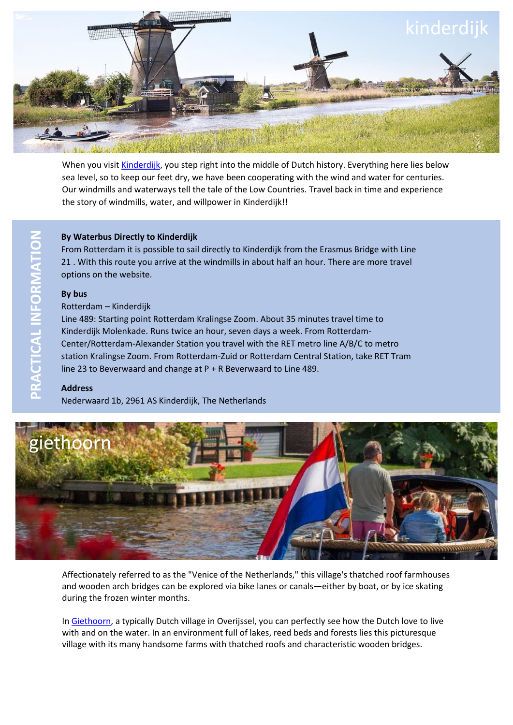

When you visit [Kinderdijk,](https://www.kinderdijk.nl/) you step right into the middle of Dutch history. Everything here lies below sea level, so to keep our feet dry, we have been cooperating with the wind and water for centuries. Our windmills and waterways tell the tale of the Low Countries. Travel back in time and experience the story of windmills, water, and willpower in Kinderdijk!!

#### **By Waterbus Directly to Kinderdijk**

From Rotterdam it is possible to sail directly to Kinderdijk from the Erasmus Bridge with Line 21 . With this route you arrive at the windmills in about half an hour. There are more travel options on the website.

#### **By bus**

Rotterdam – Kinderdijk

Line 489: Starting point Rotterdam Kralingse Zoom. About 35 minutes travel time to Kinderdijk Molenkade. Runs twice an hour, seven days a week. From Rotterdam-Center/Rotterdam-Alexander Station you travel with the RET metro line A/B/C to metro station Kralingse Zoom. From Rotterdam-Zuid or Rotterdam Central Station, take RET Tram line 23 to Beverwaard and change at P + R Beverwaard to Line 489.

#### **Address**

Nederwaard 1b, 2961 AS Kinderdijk, The Netherlands



Affectionately referred to as the "Venice of the Netherlands," this village's thatched roof farmhouses and wooden arch bridges can be explored via bike lanes or canals—either by boat, or by ice skating during the frozen winter months.

In [Giethoorn,](https://giethoorn.com/) a typically Dutch village in Overijssel, you can perfectly see how the Dutch love to live with and on the water. In an environment full of lakes, reed beds and forests lies this picturesque village with its many handsome farms with thatched roofs and characteristic wooden bridges.